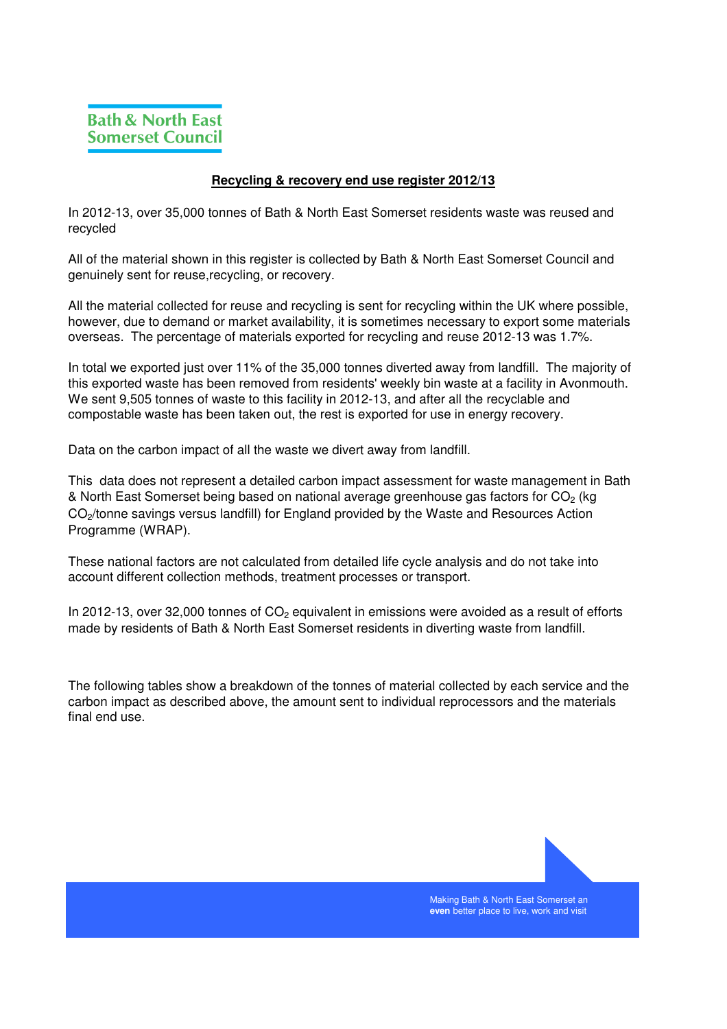## **Recycling & recovery end use register 2012/13**

In 2012-13, over 35,000 tonnes of Bath & North East Somerset residents waste was reused and recycled

All of the material shown in this register is collected by Bath & North East Somerset Council and genuinely sent for reuse,recycling, or recovery.

All the material collected for reuse and recycling is sent for recycling within the UK where possible, however, due to demand or market availability, it is sometimes necessary to export some materials overseas. The percentage of materials exported for recycling and reuse 2012-13 was 1.7%.

In total we exported just over 11% of the 35,000 tonnes diverted away from landfill. The majority of this exported waste has been removed from residents' weekly bin waste at a facility in Avonmouth. We sent 9,505 tonnes of waste to this facility in 2012-13, and after all the recyclable and compostable waste has been taken out, the rest is exported for use in energy recovery.

Data on the carbon impact of all the waste we divert away from landfill.

This data does not represent a detailed carbon impact assessment for waste management in Bath & North East Somerset being based on national average greenhouse gas factors for CO<sub>2</sub> (kg CO<sub>2</sub>/tonne savings versus landfill) for England provided by the Waste and Resources Action Programme (WRAP).

These national factors are not calculated from detailed life cycle analysis and do not take into account different collection methods, treatment processes or transport.

In 2012-13, over 32,000 tonnes of  $CO<sub>2</sub>$  equivalent in emissions were avoided as a result of efforts made by residents of Bath & North East Somerset residents in diverting waste from landfill.

The following tables show a breakdown of the tonnes of material collected by each service and the carbon impact as described above, the amount sent to individual reprocessors and the materials final end use.



Making Bath & North East Somerset an **even** better place to live, work and visit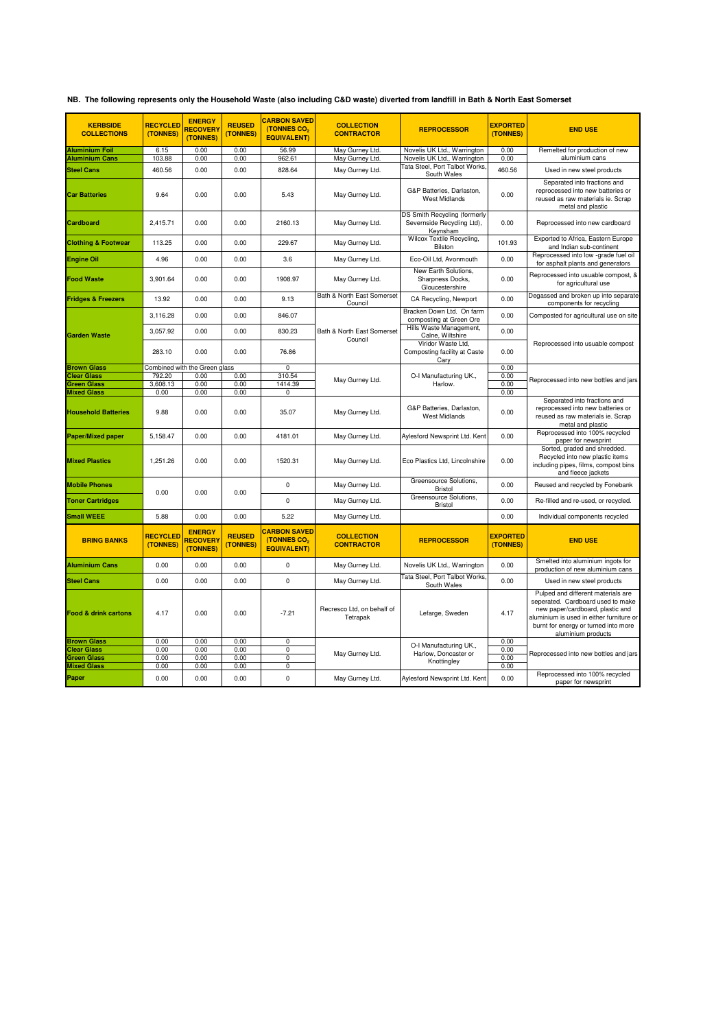|  | NB. The following represents only the Household Waste (also including C&D waste) diverted from landfill in Bath & North East Somerset |  |  |  |
|--|---------------------------------------------------------------------------------------------------------------------------------------|--|--|--|
|--|---------------------------------------------------------------------------------------------------------------------------------------|--|--|--|

| <b>KERBSIDE</b><br><b>COLLECTIONS</b> | <b>RECYCLED</b><br>(TONNES) | <b>ENERGY</b><br>RECOVERY<br>(TONNES)        | <b>REUSED</b><br>(TONNES) | <b>CARBON SAVED</b><br>(TONNES CO2<br><b>EQUIVALENT)</b>             | <b>COLLECTION</b><br><b>CONTRACTOR</b> | <b>REPROCESSOR</b>                                                            | <b>EXPORTED</b><br>(TONNES) | <b>END USE</b>                                                                                                                                                                                                        |
|---------------------------------------|-----------------------------|----------------------------------------------|---------------------------|----------------------------------------------------------------------|----------------------------------------|-------------------------------------------------------------------------------|-----------------------------|-----------------------------------------------------------------------------------------------------------------------------------------------------------------------------------------------------------------------|
|                                       |                             |                                              |                           |                                                                      |                                        |                                                                               |                             |                                                                                                                                                                                                                       |
| <b>Aluminium Foil</b>                 | 6.15                        | 0.00<br>0.00                                 | 0.00<br>0.00              | 56.99                                                                | May Gurney Ltd.                        | Novelis UK Ltd., Warrington                                                   | 0.00                        | Remelted for production of new<br>aluminium cans                                                                                                                                                                      |
| <b>Aluminium Cans</b>                 | 103.88                      |                                              |                           | 962.61                                                               | May Gurney Ltd.                        | Novelis UK Ltd., Warrington<br>Tata Steel, Port Talbot Works,                 | 0.00                        |                                                                                                                                                                                                                       |
| <b>Steel Cans</b>                     | 460.56                      | 0.00                                         | 0.00                      | 828.64                                                               | May Gurney Ltd.                        | South Wales                                                                   | 460.56                      | Used in new steel products                                                                                                                                                                                            |
| <b>Car Batteries</b>                  | 9.64                        | 0.00                                         | 0.00                      | 5.43                                                                 | May Gurney Ltd.                        | G&P Batteries, Darlaston,<br><b>West Midlands</b>                             | 0.00                        | Separated into fractions and<br>reprocessed into new batteries or<br>reused as raw materials ie. Scrap<br>metal and plastic                                                                                           |
| Cardboard                             | 2,415.71                    | 0.00                                         | 0.00                      | 2160.13                                                              | May Gurney Ltd.                        | <b>DS Smith Recycling (formerly</b><br>Severnside Recycling Ltd),<br>Keynsham | 0.00                        | Reprocessed into new cardboard                                                                                                                                                                                        |
| <b>Clothing &amp; Footwear</b>        | 113.25                      | 0.00                                         | 0.00                      | 229.67                                                               | May Gurney Ltd.                        | Wilcox Textile Recycling,<br>Bilston                                          | 101.93                      | Exported to Africa, Eastern Europe<br>and Indian sub-continent                                                                                                                                                        |
| <b>Engine Oil</b>                     | 4.96                        | 0.00                                         | 0.00                      | 3.6                                                                  | May Gurney Ltd.                        | Eco-Oil Ltd, Avonmouth                                                        | 0.00                        | Reprocessed into low -grade fuel oil<br>for asphalt plants and generators                                                                                                                                             |
| <b>Food Waste</b>                     | 3,901.64                    | 0.00                                         | 0.00                      | 1908.97                                                              | May Gurney Ltd.                        | New Earth Solutions,<br>Sharpness Docks,<br>Gloucestershire                   | 0.00                        | Reprocessed into usuable compost, &<br>for agricultural use                                                                                                                                                           |
| <b>Fridges &amp; Freezers</b>         | 13.92                       | 0.00                                         | 0.00                      | 9.13                                                                 | Bath & North East Somerset<br>Council  | CA Recycling, Newport                                                         | 0.00                        | Degassed and broken up into separate<br>components for recycling                                                                                                                                                      |
|                                       | 3,116.28                    | 0.00                                         | 0.00                      | 846.07                                                               |                                        | Bracken Down Ltd. On farm<br>composting at Green Ore                          | 0.00                        | Composted for agricultural use on site                                                                                                                                                                                |
| <b>Garden Waste</b>                   | 3,057.92                    | 0.00                                         | 0.00                      | 830.23                                                               | Bath & North East Somerset             | Hills Waste Management,<br>Calne, Wiltshire                                   | 0.00                        |                                                                                                                                                                                                                       |
|                                       | 283.10                      | 0.00                                         | 0.00                      | 76.86                                                                | Council                                | Viridor Waste Ltd.<br>Composting facility at Caste<br>Cary                    | 0.00                        | Reprocessed into usuable compost                                                                                                                                                                                      |
| <b>Brown Glass</b>                    |                             | Combined with the Green glass                |                           | 0                                                                    |                                        |                                                                               | 0.00                        |                                                                                                                                                                                                                       |
| <b>Clear Glass</b>                    | 792.20                      | 0.00                                         | 0.00                      | 310.54                                                               | May Gurney Ltd.                        | O-I Manufacturing UK.,                                                        | 0.00                        | Reprocessed into new bottles and jars                                                                                                                                                                                 |
| Green Glass                           | 3,608.13                    | 0.00                                         | 0.00                      | 1414.39                                                              |                                        | Harlow.                                                                       | 0.00                        |                                                                                                                                                                                                                       |
| <b>Mixed Glass</b>                    | 0.00                        | 0.00                                         | 0.00                      | 0                                                                    |                                        |                                                                               | 0.00                        |                                                                                                                                                                                                                       |
| <b>Household Batteries</b>            | 9.88                        | 0.00                                         | 0.00                      | 35.07                                                                | May Gurney Ltd.                        | G&P Batteries, Darlaston,<br><b>West Midlands</b>                             | 0.00                        | Separated into fractions and<br>reprocessed into new batteries or<br>reused as raw materials ie. Scrap<br>metal and plastic                                                                                           |
| <b>Paper/Mixed paper</b>              | 5,158.47                    | 0.00                                         | 0.00                      | 4181.01                                                              | May Gurney Ltd.                        | Aylesford Newsprint Ltd. Kent                                                 | 0.00                        | Reprocessed into 100% recycled<br>paper for newsprint                                                                                                                                                                 |
| <b>Mixed Plastics</b>                 | 1,251.26                    | 0.00                                         | 0.00                      | 1520.31                                                              | May Gurney Ltd.                        | Eco Plastics Ltd, Lincolnshire                                                | 0.00                        | Sorted, graded and shredded.<br>Recycled into new plastic items<br>including pipes, films, compost bins<br>and fleece jackets                                                                                         |
| <b>Mobile Phones</b>                  | 0.00                        | 0.00                                         | 0.00                      | $\pmb{0}$                                                            | May Gurney Ltd.                        | Greensource Solutions,<br><b>Bristol</b>                                      | 0.00                        | Reused and recycled by Fonebank                                                                                                                                                                                       |
| <b>Toner Cartridges</b>               |                             |                                              |                           | $\mathbf 0$                                                          | May Gurney Ltd.                        | Greensource Solutions,<br><b>Bristol</b>                                      | 0.00                        | Re-filled and re-used, or recycled.                                                                                                                                                                                   |
| <b>Small WEEE</b>                     | 5.88                        | 0.00                                         | 0.00                      | 5.22                                                                 | May Gurney Ltd.                        |                                                                               | 0.00                        | Individual components recycled                                                                                                                                                                                        |
| <b>BRING BANKS</b>                    | <b>RECYCLED</b><br>(TONNES) | <b>ENERGY</b><br><b>RECOVERY</b><br>(TONNES) | <b>REUSED</b><br>(TONNES) | <b>CARBON SAVED</b><br>(TONNES CO <sub>2</sub><br><b>EQUIVALENT)</b> | <b>COLLECTION</b><br><b>CONTRACTOR</b> | <b>REPROCESSOR</b>                                                            | <b>EXPORTED</b><br>(TONNES) | <b>END USE</b>                                                                                                                                                                                                        |
| <b>Aluminium Cans</b>                 | 0.00                        | 0.00                                         | 0.00                      | $\pmb{0}$                                                            | May Gurney Ltd.                        | Novelis UK Ltd., Warrington                                                   | 0.00                        | Smelted into aluminium ingots for<br>production of new aluminium cans                                                                                                                                                 |
| <b>Steel Cans</b>                     | 0.00                        | 0.00                                         | 0.00                      | $\mathbf 0$                                                          | May Gurney Ltd.                        | Tata Steel, Port Talbot Works,<br>South Wales                                 | 0.00                        | Used in new steel products                                                                                                                                                                                            |
| Food & drink cartons                  | 4.17                        | 0.00                                         | 0.00                      | $-7.21$                                                              | Recresco Ltd, on behalf of<br>Tetrapak | Lefarge, Sweden                                                               | 4.17                        | Pulped and different materials are<br>seperated. Cardboard used to make<br>new paper/cardboard, plastic and<br>aluminium is used in either furniture or<br>burnt for energy or turned into more<br>aluminium products |
| <b>Brown Glass</b>                    | 0.00                        | 0.00                                         | 0.00                      | $\mathbf 0$                                                          |                                        | O-I Manufacturing UK.,                                                        | 0.00                        |                                                                                                                                                                                                                       |
| <b>Clear Glass</b><br>Green Glass     | 0.00<br>0.00                | 0.00<br>0.00                                 | 0.00<br>0.00              | $\overline{0}$<br>$\overline{0}$                                     | May Gurney Ltd.                        | Harlow, Doncaster or                                                          | 0.00<br>0.00                | Reprocessed into new bottles and jars                                                                                                                                                                                 |
| <b>Mixed Glass</b>                    | 0.00                        | 0.00                                         | 0.00                      | $\overline{0}$                                                       |                                        | Knottingley                                                                   | 0.00                        |                                                                                                                                                                                                                       |
|                                       |                             |                                              |                           |                                                                      |                                        |                                                                               |                             | Reprocessed into 100% recycled                                                                                                                                                                                        |
| Paper                                 | 0.00                        | 0.00                                         | 0.00                      | $\mathbf 0$                                                          | May Gurney Ltd.                        | Aylesford Newsprint Ltd. Kent                                                 | 0.00                        | paper for newsprint                                                                                                                                                                                                   |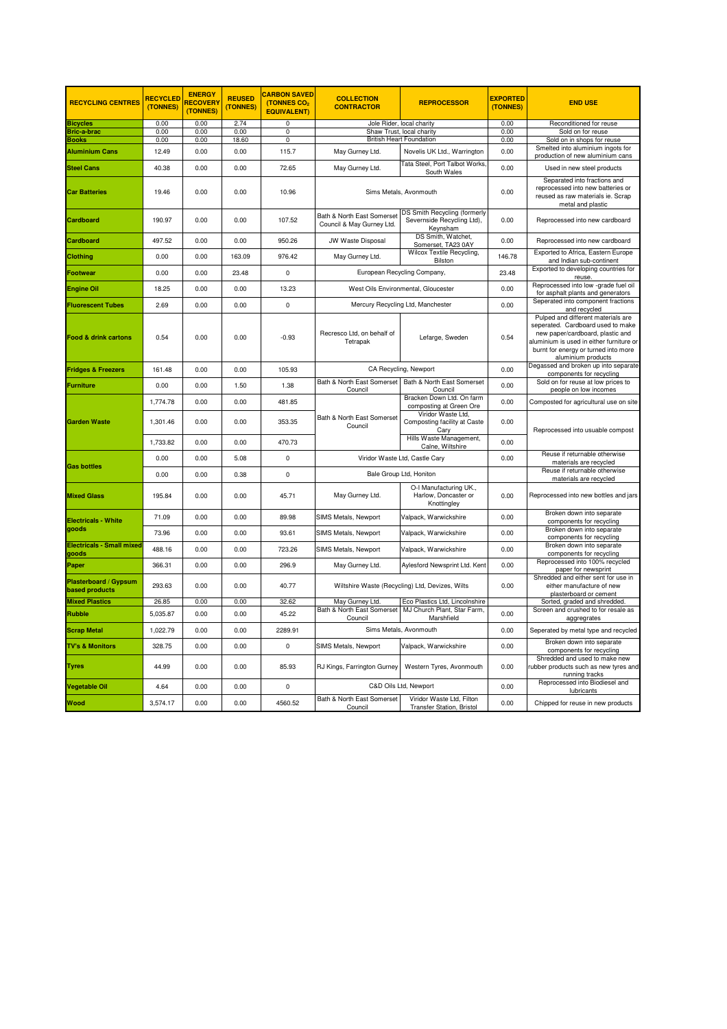| <b>RECYCLING CENTRES</b>                       | <b>RECYCLED</b><br>(TONNES) | <b>ENERGY</b><br><b>RECOVERY</b><br>(TONNES) | <b>REUSED</b><br>(TONNES) | <b>CARBON SAVED</b><br>(TONNES CO2<br><b>EQUIVALENT)</b> | <b>COLLECTION</b><br><b>CONTRACTOR</b>                  | <b>REPROCESSOR</b>                                                     | <b>EXPORTED</b><br>(TONNES) | <b>END USE</b>                                                                                                                                                                                                        |
|------------------------------------------------|-----------------------------|----------------------------------------------|---------------------------|----------------------------------------------------------|---------------------------------------------------------|------------------------------------------------------------------------|-----------------------------|-----------------------------------------------------------------------------------------------------------------------------------------------------------------------------------------------------------------------|
| <b>Bicycles</b>                                | 0.00                        | 0.00                                         | 2.74                      | $\overline{0}$                                           |                                                         | Jole Rider, local charity                                              | 0.00                        | Reconditioned for reuse                                                                                                                                                                                               |
| Bric-a-brac                                    | 0.00                        | 0.00                                         | 0.00                      | 0                                                        |                                                         | Shaw Trust, local charity                                              | 0.00                        | Sold on for reuse                                                                                                                                                                                                     |
| Books                                          | 0.00                        | 0.00                                         | 18.60                     | $\overline{0}$                                           |                                                         | <b>British Heart Foundation</b>                                        | 0.00                        | Sold on in shops for reuse                                                                                                                                                                                            |
| <b>Aluminium Cans</b>                          | 12.49                       | 0.00                                         | 0.00                      | 115.7                                                    | May Gurney Ltd.                                         | Novelis UK Ltd., Warrington<br>Tata Steel, Port Talbot Works.          | 0.00                        | Smelted into aluminium ingots for<br>production of new aluminium cans                                                                                                                                                 |
| <b>Steel Cans</b>                              | 40.38                       | 0.00                                         | 0.00                      | 72.65                                                    | May Gurney Ltd.                                         | South Wales                                                            | 0.00                        | Used in new steel products                                                                                                                                                                                            |
| <b>Car Batteries</b>                           | 19.46                       | 0.00                                         | 0.00                      | 10.96                                                    | Sims Metals, Avonmouth                                  |                                                                        | 0.00                        | Separated into fractions and<br>reprocessed into new batteries or<br>reused as raw materials ie. Scrap<br>metal and plastic                                                                                           |
| Cardboard                                      | 190.97                      | 0.00                                         | 0.00                      | 107.52                                                   | Bath & North East Somerset<br>Council & May Gurney Ltd. | DS Smith Recycling (formerly<br>Severnside Recycling Ltd),<br>Keynsham | 0.00                        | Reprocessed into new cardboard                                                                                                                                                                                        |
| Cardboard                                      | 497.52                      | 0.00                                         | 0.00                      | 950.26                                                   | JW Waste Disposal                                       | DS Smith, Watchet,<br>Somerset, TA23 0AY                               | 0.00                        | Reprocessed into new cardboard                                                                                                                                                                                        |
| Clothing                                       | 0.00                        | 0.00                                         | 163.09                    | 976.42                                                   | May Gurney Ltd.                                         | Wilcox Textile Recycling,<br>Bilston                                   | 146.78                      | Exported to Africa, Eastern Europe<br>and Indian sub-continent                                                                                                                                                        |
| Footwear                                       | 0.00                        | 0.00                                         | 23.48                     | 0                                                        | European Recycling Company,                             |                                                                        | 23.48                       | Exported to developing countries for<br>reuse.                                                                                                                                                                        |
| Engine Oil                                     | 18.25                       | 0.00                                         | 0.00                      | 13.23                                                    |                                                         | West Oils Environmental, Gloucester                                    | 0.00                        | Reprocessed into low -grade fuel oil<br>for asphalt plants and generators                                                                                                                                             |
| <b>Fluorescent Tubes</b>                       | 2.69                        | 0.00                                         | 0.00                      | 0                                                        |                                                         | Mercury Recycling Ltd, Manchester                                      | 0.00                        | Seperated into component fractions<br>and recycled                                                                                                                                                                    |
| <b>Food &amp; drink cartons</b>                | 0.54                        | 0.00                                         | 0.00                      | $-0.93$                                                  | Recresco Ltd, on behalf of<br>Tetrapak                  | Lefarge, Sweden                                                        | 0.54                        | Pulped and different materials are<br>seperated. Cardboard used to make<br>new paper/cardboard, plastic and<br>aluminium is used in either furniture or<br>burnt for energy or turned into more<br>aluminium products |
| <b>Fridges &amp; Freezers</b>                  | 161.48                      | 0.00                                         | 0.00                      | 105.93                                                   |                                                         | CA Recycling, Newport                                                  | 0.00                        | Degassed and broken up into separate<br>components for recycling                                                                                                                                                      |
| <b>Furniture</b>                               | 0.00                        | 0.00                                         | 1.50                      | 1.38                                                     | Bath & North East Somerset<br>Council                   | Bath & North East Somerset<br>Council                                  | 0.00                        | Sold on for reuse at low prices to<br>people on low incomes                                                                                                                                                           |
|                                                | 1,774.78                    | 0.00                                         | 0.00                      | 481.85                                                   |                                                         | Bracken Down Ltd. On farm<br>composting at Green Ore                   | 0.00                        | Composted for agricultural use on site                                                                                                                                                                                |
| <b>Garden Waste</b>                            | 1,301.46                    | 0.00                                         | 0.00                      | 353.35                                                   | Bath & North East Somerset<br>Council<br>Cary           | Viridor Waste Ltd,<br>Composting facility at Caste                     | 0.00                        | Reprocessed into usuable compost                                                                                                                                                                                      |
|                                                | 1,733.82                    | 0.00                                         | 0.00                      | 470.73                                                   |                                                         | Hills Waste Management,<br>Calne, Wiltshire                            | 0.00                        |                                                                                                                                                                                                                       |
| <b>Gas bottles</b>                             | 0.00                        | 0.00                                         | 5.08                      | 0                                                        | Viridor Waste Ltd, Castle Cary                          |                                                                        | 0.00                        | Reuse if returnable otherwise<br>materials are recycled                                                                                                                                                               |
|                                                | 0.00                        | 0.00                                         | 0.38                      | 0                                                        | Bale Group Ltd, Honiton                                 |                                                                        |                             | Reuse if returnable otherwise<br>materials are recycled                                                                                                                                                               |
| <b>Mixed Glass</b>                             | 195.84                      | 0.00                                         | 0.00                      | 45.71                                                    | May Gurney Ltd.                                         | O-I Manufacturing UK.,<br>Harlow, Doncaster or<br>Knottingley          | 0.00                        | Reprocessed into new bottles and jars                                                                                                                                                                                 |
| <b>Electricals - White</b>                     | 71.09                       | 0.00                                         | 0.00                      | 89.98                                                    | SIMS Metals, Newport                                    | Valpack, Warwickshire                                                  | 0.00                        | Broken down into separate<br>components for recycling                                                                                                                                                                 |
| goods                                          | 73.96                       | 0.00                                         | 0.00                      | 93.61                                                    | SIMS Metals, Newport                                    | Valpack, Warwickshire                                                  | 0.00                        | Broken down into separate<br>components for recycling                                                                                                                                                                 |
| Electricals - Small mixed<br>goods             | 488.16                      | 0.00                                         | 0.00                      | 723.26                                                   | SIMS Metals, Newport                                    | Valpack, Warwickshire                                                  | 0.00                        | Broken down into separate<br>components for recycling                                                                                                                                                                 |
| Paper                                          | 366.31                      | 0.00                                         | 0.00                      | 296.9                                                    | May Gurney Ltd.                                         | Aylesford Newsprint Ltd. Kent                                          | 0.00                        | Reprocessed into 100% recycled<br>paper for newsprint                                                                                                                                                                 |
| Plasterboard / Gypsum<br><b>based products</b> | 293.63                      | 0.00                                         | 0.00                      | 40.77                                                    | Wiltshire Waste (Recycling) Ltd, Devizes, Wilts         |                                                                        | 0.00                        | Shredded and either sent for use in<br>either manufacture of new<br>plasterboard or cement                                                                                                                            |
| <b>Mixed Plastics</b>                          | 26.85                       | 0.00                                         | 0.00                      | 32.62                                                    | May Gurney Ltd.                                         | Eco Plastics Ltd, Lincolnshire                                         |                             | Sorted, graded and shredded.                                                                                                                                                                                          |
| Rubble                                         | 5,035.87                    | 0.00                                         | 0.00                      | 45.22                                                    | Bath & North East Somerset<br>Council                   | MJ Church Plant, Star Farm,<br>Marshfield                              | 0.00                        | Screen and crushed to for resale as<br>aggregrates                                                                                                                                                                    |
| <b>Scrap Metal</b>                             | 1,022.79                    | 0.00                                         | 0.00                      | 2289.91                                                  |                                                         | Sims Metals, Avonmouth                                                 | 0.00                        | Seperated by metal type and recycled                                                                                                                                                                                  |
| <b>TV's &amp; Monitors</b>                     | 328.75                      | 0.00                                         | 0.00                      | 0                                                        | <b>SIMS Metals, Newport</b>                             | Valpack, Warwickshire                                                  | 0.00                        | Broken down into separate<br>components for recycling                                                                                                                                                                 |
| Tyres                                          | 44.99                       | 0.00                                         | 0.00                      | 85.93                                                    | RJ Kings, Farrington Gurney                             | Western Tyres, Avonmouth                                               | 0.00                        | Shredded and used to make new<br>rubber products such as new tyres and<br>running tracks                                                                                                                              |
| Vegetable Oil                                  | 4.64                        | 0.00                                         | 0.00                      | 0                                                        |                                                         | C&D Oils Ltd, Newport                                                  | 0.00                        | Reprocessed into Biodiesel and<br>lubricants                                                                                                                                                                          |
| <b>Nood</b>                                    | 3,574.17                    | 0.00                                         | 0.00                      | 4560.52                                                  | Bath & North East Somerset<br>Council                   | Viridor Waste Ltd, Filton<br><b>Transfer Station, Bristol</b>          | 0.00                        | Chipped for reuse in new products                                                                                                                                                                                     |